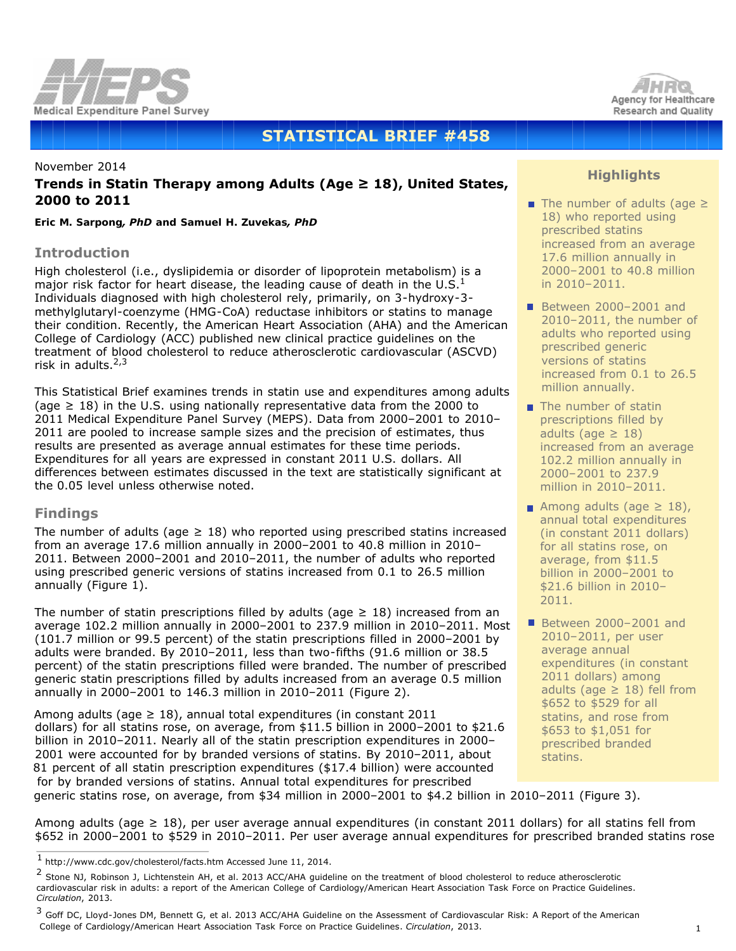

# **STATISTICAL BRIEF #458**

# November 2014 **Trends in Statin Therapy among Adults (Age ≥ 18), United States, 2000 to 2011**

*Eric M. Sarpong, PhD and Samuel H. Zuvekas, PhD*

### **Introduction**

High cholesterol (i.e., dyslipidemia or disorder of lipoprotein metabolism) is a major risk factor for heart disease, the leading cause of death in the U.S. $<sup>1</sup>$ </sup> Individuals diagnosed with high cholesterol rely, primarily, on 3-hydroxy-3 methylglutaryl-coenzyme (HMG-CoA) reductase inhibitors or statins to manage their condition. Recently, the American Heart Association (AHA) and the American College of Cardiology (ACC) published new clinical practice guidelines on the treatment of blood cholesterol to reduce atherosclerotic cardiovascular (ASCVD) risk in adults. $2,3$ 

This Statistical Brief examines trends in statin use and expenditures among adults (age  $\geq$  18) in the U.S. using nationally representative data from the 2000 to 2011 Medical Expenditure Panel Survey (MEPS). Data from 2000–2001 to 2010– 2011 are pooled to increase sample sizes and the precision of estimates, thus results are presented as average annual estimates for these time periods. Expenditures for all years are expressed in constant 2011 U.S. dollars. All differences between estimates discussed in the text are statistically significant at the 0.05 level unless otherwise noted.

# **Findings**

The number of adults (age  $\geq$  18) who reported using prescribed statins increased from an average 17.6 million annually in 2000–2001 to 40.8 million in 2010– 2011. Between 2000–2001 and 2010–2011, the number of adults who reported using prescribed generic versions of statins increased from 0.1 to 26.5 million annually (Figure 1).

The number of statin prescriptions filled by adults (age  $\geq$  18) increased from an average 102.2 million annually in 2000–2001 to 237.9 million in 2010–2011. Most (101.7 million or 99.5 percent) of the statin prescriptions filled in 2000–2001 by adults were branded. By 2010–2011, less than two-fifths (91.6 million or 38.5 percent) of the statin prescriptions filled were branded. The number of prescribed generic statin prescriptions filled by adults increased from an average 0.5 million annually in 2000–2001 to 146.3 million in 2010–2011 (Figure 2).

Among adults (age  $\geq 18$ ), annual total expenditures (in constant 2011 dollars) for all statins rose, on average, from \$11.5 billion in 2000–2001 to \$21.6 billion in 2010–2011. Nearly all of the statin prescription expenditures in 2000– 2001 were accounted for by branded versions of statins. By 2010–2011, about 81 percent of all statin prescription expenditures (\$17.4 billion) were accounted for by branded versions of statins. Annual total expenditures for prescribed generic statins rose, on average, from \$34 million in 2000–2001 to \$4.2 billion in 2010–2011 (Figure 3).



# **Highlights**

- The number of adults (age ≥ 18) who reported using prescribed statins increased from an average 17.6 million annually in 2000–2001 to 40.8 million in 2010–2011.
- Between 2000-2001 and 2010–2011, the number of adults who reported using prescribed generic versions of statins increased from 0.1 to 26.5 million annually.
- $\blacksquare$  The number of statin prescriptions filled by adults (age  $\geq 18$ ) increased from an average 102.2 million annually in 2000–2001 to 237.9 million in 2010–2011.
- Among adults (age  $\geq$  18), annual total expenditures (in constant 2011 dollars) for all statins rose, on average, from \$11.5 billion in 2000–2001 to \$21.6 billion in 2010– 2011.
- Between 2000-2001 and 2010–2011, per user average annual expenditures (in constant 2011 dollars) among adults (age  $\geq$  18) fell from \$652 to \$529 for all statins, and rose from \$653 to \$1,051 for prescribed branded statins.

Among adults (age ≥ 18), per user average annual expenditures (in constant 2011 dollars) for all statins fell from \$652 in 2000–2001 to \$529 in 2010–2011. Per user average annual expenditures for prescribed branded statins rose

 $^{\rm 1}$ http://www.cdc.gov/cholesterol/facts.htm Accessed June 11, 2014.

<sup>&</sup>lt;sup>2</sup> Stone NJ, Robinson J, Lichtenstein AH, et al. 2013 ACC/AHA guideline on the treatment of blood cholesterol to reduce atherosclerotic cardiovascular risk in adults: a report of the American College of Cardiology/American Heart Association Task Force on Practice Guidelines. *Circulation*, 2013.

<sup>&</sup>lt;sup>3</sup> Goff DC, Lloyd-Jones DM, Bennett G, et al. 2013 ACC/AHA Guideline on the Assessment of Cardiovascular Risk: A Report of the American College of Cardiology/American Heart Association Task Force on Practice Guidelines. *Circulation*, 2013.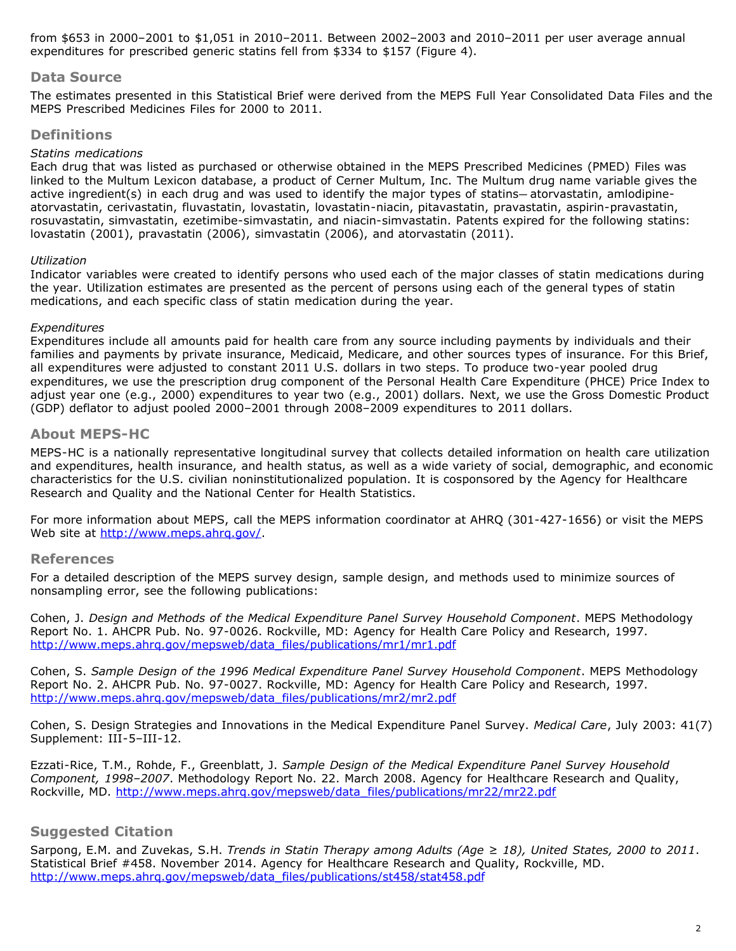from \$653 in 2000–2001 to \$1,051 in 2010–2011. Between 2002–2003 and 2010–2011 per user average annual expenditures for prescribed generic statins fell from \$334 to \$157 (Figure 4).

### **Data Source**

The estimates presented in this Statistical Brief were derived from the MEPS Full Year Consolidated Data Files and the MEPS Prescribed Medicines Files for 2000 to 2011.

### **Definitions**

#### *Statins medications*

Each drug that was listed as purchased or otherwise obtained in the MEPS Prescribed Medicines (PMED) Files was linked to the Multum Lexicon database, a product of Cerner Multum, Inc. The Multum drug name variable gives the active ingredient(s) in each drug and was used to identify the major types of statins—atorvastatin, amlodipineatorvastatin, cerivastatin, fluvastatin, lovastatin, lovastatin-niacin, pitavastatin, pravastatin, aspirin-pravastatin, rosuvastatin, simvastatin, ezetimibe-simvastatin, and niacin-simvastatin. Patents expired for the following statins: lovastatin (2001), pravastatin (2006), simvastatin (2006), and atorvastatin (2011).

#### *Utilization*

Indicator variables were created to identify persons who used each of the major classes of statin medications during the year. Utilization estimates are presented as the percent of persons using each of the general types of statin medications, and each specific class of statin medication during the year.

#### *Expenditures*

Expenditures include all amounts paid for health care from any source including payments by individuals and their families and payments by private insurance, Medicaid, Medicare, and other sources types of insurance. For this Brief, all expenditures were adjusted to constant 2011 U.S. dollars in two steps. To produce two-year pooled drug expenditures, we use the prescription drug component of the Personal Health Care Expenditure (PHCE) Price Index to adjust year one (e.g., 2000) expenditures to year two (e.g., 2001) dollars. Next, we use the Gross Domestic Product (GDP) deflator to adjust pooled 2000–2001 through 2008–2009 expenditures to 2011 dollars.

#### **About MEPS-HC**

MEPS-HC is a nationally representative longitudinal survey that collects detailed information on health care utilization and expenditures, health insurance, and health status, as well as a wide variety of social, demographic, and economic characteristics for the U.S. civilian noninstitutionalized population. It is cosponsored by the Agency for Healthcare Research and Quality and the National Center for Health Statistics.

For more information about MEPS, call the MEPS information coordinator at AHRQ (301-427-1656) or visit the MEPS Web site at<http://www.meps.ahrq.gov/>.

### **References**

For a detailed description of the MEPS survey design, sample design, and methods used to minimize sources of nonsampling error, see the following publications:

Cohen, J. *Design and Methods of the Medical Expenditure Panel Survey Household Component*. MEPS Methodology Report No. 1. AHCPR Pub. No. 97-0026. Rockville, MD: Agency for Health Care Policy and Research, 1997. [http://www.meps.ahrq.gov/mepsweb/data\\_files/publications/mr1/mr1.pdf](http://www.meps.ahrq.gov/mepsweb/data_files/publications/mr1/mr1.pdf)

Cohen, S. *Sample Design of the 1996 Medical Expenditure Panel Survey Household Component*. MEPS Methodology Report No. 2. AHCPR Pub. No. 97-0027. Rockville, MD: Agency for Health Care Policy and Research, 1997. [http://www.meps.ahrq.gov/mepsweb/data\\_files/publications/mr2/mr2.pdf](http://www.meps.ahrq.gov/mepsweb/data_files/publications/mr2/mr2.pdf)

Cohen, S. Design Strategies and Innovations in the Medical Expenditure Panel Survey. *Medical Care*, July 2003: 41(7) Supplement: III-5–III-12.

Ezzati-Rice, T.M., Rohde, F., Greenblatt, J. *Sample Design of the Medical Expenditure Panel Survey Household Component, 1998–2007*. Methodology Report No. 22. March 2008. Agency for Healthcare Research and Quality, Rockville, MD. [http://www.meps.ahrq.gov/mepsweb/data\\_files/publications/mr22/mr22.pdf](http://www.meps.ahrq.gov/mepsweb/data_files/publications/mr22/mr22.pdf)

# **Suggested Citation**

Sarpong, E.M. and Zuvekas, S.H. *Trends in Statin Therapy among Adults (Age ≥ 18), United States, 2000 to 2011*. Statistical Brief #458. November 2014. Agency for Healthcare Research and Quality, Rockville, MD. [http://www.meps.ahrq.gov/mepsweb/data\\_files/publications/st458/stat458.pdf](http://www.meps.ahrq.gov/mepsweb/data_files/publications/st458/stat458.pdf)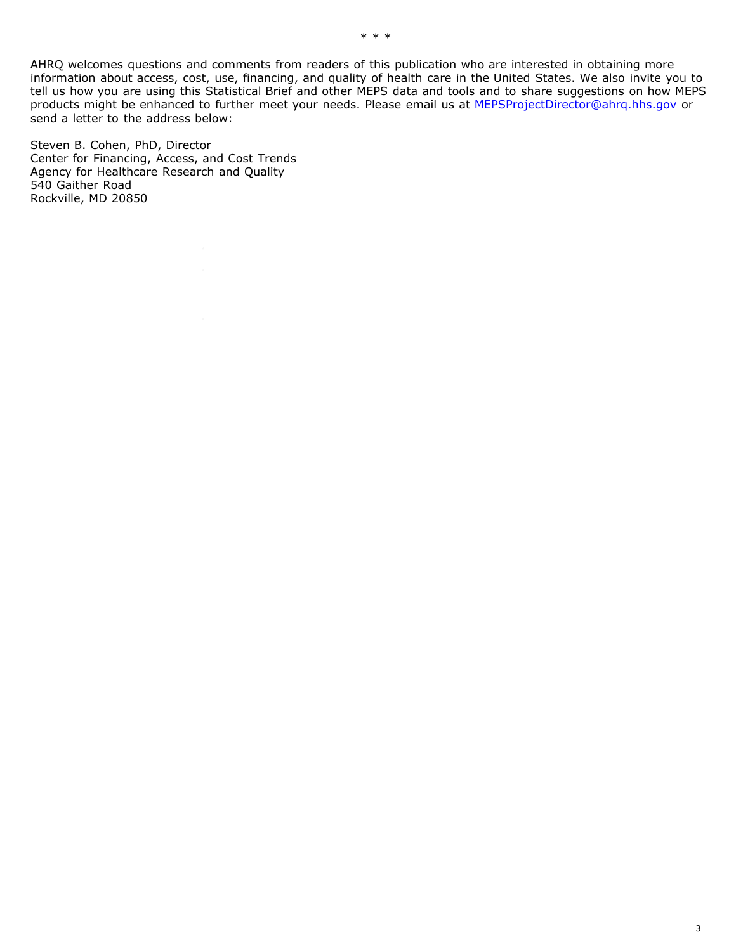AHRQ welcomes questions and comments from readers of this publication who are interested in obtaining more information about access, cost, use, financing, and quality of health care in the United States. We also invite you to tell us how you are using this Statistical Brief and other MEPS data and tools and to share suggestions on how MEPS products might be enhanced to further meet your needs. Please email us at [MEPSProjectDirector@ahrq.hhs.gov](mailto:MEPSProjectDirector@ahrq.hhs.gov) or send a letter to the address below:

Steven B. Cohen, PhD, Director Center for Financing, Access, and Cost Trends Agency for Healthcare Research and Quality 540 Gaither Road Rockville, MD 20850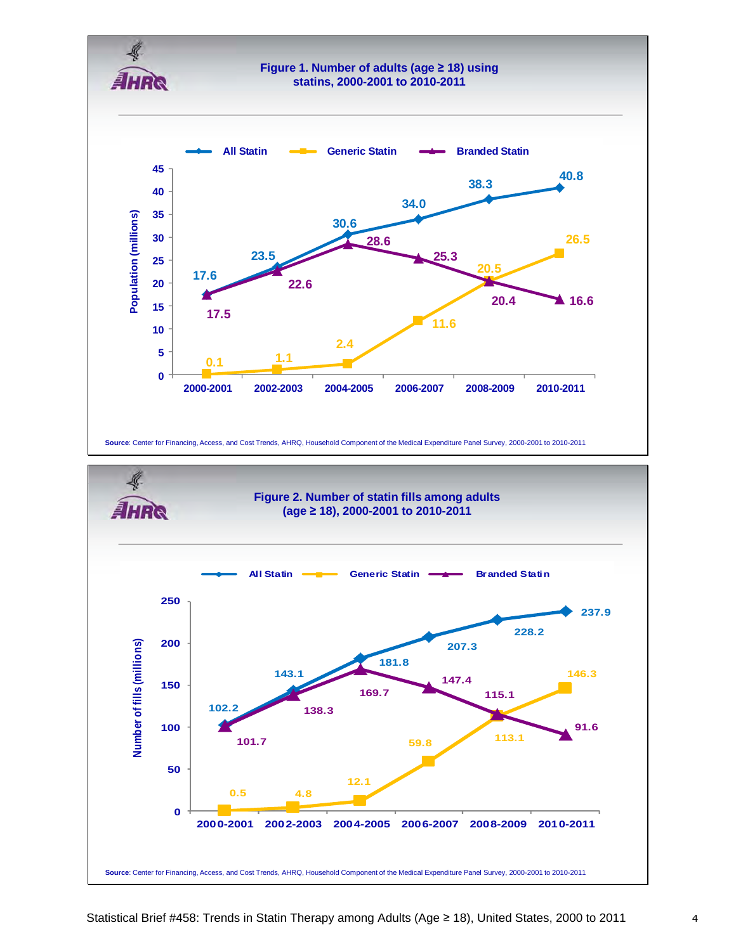